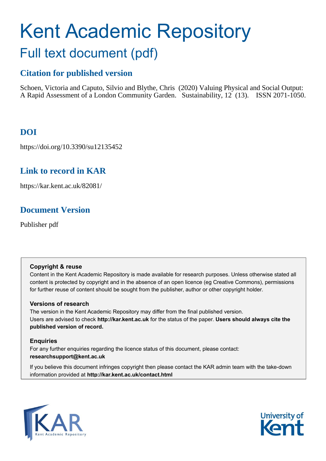# Kent Academic Repository Full text document (pdf)

# **Citation for published version**

Schoen, Victoria and Caputo, Silvio and Blythe, Chris (2020) Valuing Physical and Social Output: A Rapid Assessment of a London Community Garden. Sustainability, 12 (13). ISSN 2071-1050.

# **DOI**

https://doi.org/10.3390/su12135452

## **Link to record in KAR**

https://kar.kent.ac.uk/82081/

## **Document Version**

Publisher pdf

## **Copyright & reuse**

Content in the Kent Academic Repository is made available for research purposes. Unless otherwise stated all content is protected by copyright and in the absence of an open licence (eg Creative Commons), permissions for further reuse of content should be sought from the publisher, author or other copyright holder.

## **Versions of research**

The version in the Kent Academic Repository may differ from the final published version. Users are advised to check **http://kar.kent.ac.uk** for the status of the paper. **Users should always cite the published version of record.**

## **Enquiries**

For any further enquiries regarding the licence status of this document, please contact: **researchsupport@kent.ac.uk**

If you believe this document infringes copyright then please contact the KAR admin team with the take-down information provided at **http://kar.kent.ac.uk/contact.html**



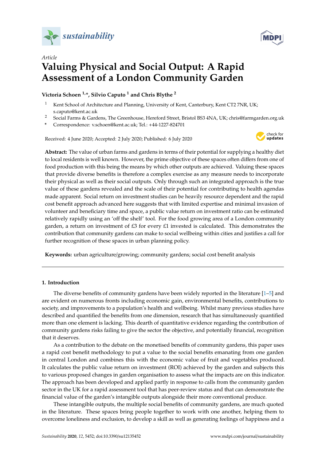



## *Article* **Valuing Physical and Social Output: A Rapid Assessment of a London Community Garden**

**Victoria Schoen 1,\*, Silvio Caputo <sup>1</sup> and Chris Blythe <sup>2</sup>**

- <sup>1</sup> Kent School of Architecture and Planning, University of Kent, Canterbury, Kent CT2 7NR, UK; s.caputo@kent.ac.uk
- <sup>2</sup> Social Farms & Gardens, The Greenhouse, Hereford Street, Bristol BS3 4NA, UK; chris@farmgarden.org.uk
- **\*** Correspondence: v.schoen@kent.ac.uk; Tel.: +44-1227-824701

Received: 4 June 2020; Accepted: 2 July 2020; Published: 6 July 2020



**Abstract:** The value of urban farms and gardens in terms of their potential for supplying a healthy diet to local residents is well known. However, the prime objective of these spaces often differs from one of food production with this being the means by which other outputs are achieved. Valuing these spaces that provide diverse benefits is therefore a complex exercise as any measure needs to incorporate their physical as well as their social outputs. Only through such an integrated approach is the true value of these gardens revealed and the scale of their potential for contributing to health agendas made apparent. Social return on investment studies can be heavily resource dependent and the rapid cost benefit approach advanced here suggests that with limited expertise and minimal invasion of volunteer and beneficiary time and space, a public value return on investment ratio can be estimated relatively rapidly using an 'off the shelf' tool. For the food growing area of a London community garden, a return on investment of  $£3$  for every  $£1$  invested is calculated. This demonstrates the contribution that community gardens can make to social wellbeing within cities and justifies a call for further recognition of these spaces in urban planning policy.

**Keywords:** urban agriculture/growing; community gardens; social cost benefit analysis

#### **1. Introduction**

The diverse benefits of community gardens have been widely reported in the literature [1–5] and are evident on numerous fronts including economic gain, environmental benefits, contributions to society, and improvements to a population's health and wellbeing. Whilst many previous studies have described and quantified the benefits from one dimension, research that has simultaneously quantified more than one element is lacking. This dearth of quantitative evidence regarding the contribution of community gardens risks failing to give the sector the objective, and potentially financial, recognition that it deserves.

As a contribution to the debate on the monetised benefits of community gardens, this paper uses a rapid cost benefit methodology to put a value to the social benefits emanating from one garden in central London and combines this with the economic value of fruit and vegetables produced. It calculates the public value return on investment (ROI) achieved by the garden and subjects this to various proposed changes in garden organisation to assess what the impacts are on this indicator. The approach has been developed and applied partly in response to calls from the community garden sector in the UK for a rapid assessment tool that has peer-review status and that can demonstrate the financial value of the garden's intangible outputs alongside their more conventional produce.

These intangible outputs, the multiple social benefits of community gardens, are much quoted in the literature. These spaces bring people together to work with one another, helping them to overcome loneliness and exclusion, to develop a skill as well as generating feelings of happiness and a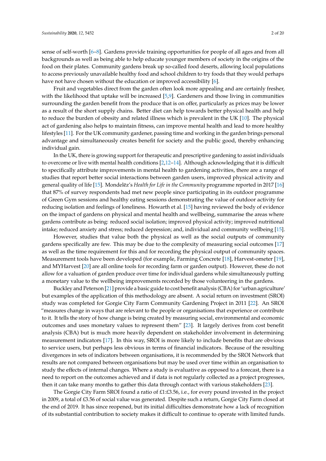sense of self-worth [6–8]. Gardens provide training opportunities for people of all ages and from all backgrounds as well as being able to help educate younger members of society in the origins of the food on their plates. Community gardens break up so-called food deserts, allowing local populations to access previously unavailable healthy food and school children to try foods that they would perhaps have not have chosen without the education or improved accessibility [6].

Fruit and vegetables direct from the garden often look more appealing and are certainly fresher, with the likelihood that uptake will be increased [5,9]. Gardeners and those living in communities surrounding the garden benefit from the produce that is on offer, particularly as prices may be lower as a result of the short supply chains. Better diet can help towards better physical health and help to reduce the burden of obesity and related illness which is prevalent in the UK [10]. The physical act of gardening also helps to maintain fitness, can improve mental health and lead to more healthy lifestyles [11]. For the UK community gardener, passing time and working in the garden brings personal advantage and simultaneously creates benefit for society and the public good, thereby enhancing individual gain.

In the UK, there is growing support for therapeutic and prescriptive gardening to assist individuals to overcome or live with mental health conditions [2,12–14]. Although acknowledging that it is difficult to specifically attribute improvements in mental health to gardening activities, there are a range of studies that report better social interactions between garden users, improved physical activity and general quality of life [15]. Mondelez's *Health for Life in the Community* programme reported in 2017 [16] that 87% of survey respondents had met new people since participating in its outdoor programme of Green Gym sessions and healthy eating sessions demonstrating the value of outdoor activity for reducing isolation and feelings of loneliness. Howarth et al. [15] having reviewed the body of evidence on the impact of gardens on physical and mental health and wellbeing, summarise the areas where gardens contribute as being: reduced social isolation; improved physical activity; improved nutritional intake; reduced anxiety and stress; reduced depression; and, individual and community wellbeing [15].

However, studies that value both the physical as well as the social outputs of community gardens specifically are few. This may be due to the complexity of measuring social outcomes [17] as well as the time requirement for this and for recording the physical output of community spaces. Measurement tools have been developed (for example, Farming Concrete [18], Harvest-ometer [19], and MYHarvest [20] are all online tools for recording farm or garden output). However, these do not allow for a valuation of garden produce over time for individual gardens while simultaneously putting a monetary value to the wellbeing improvements recorded by those volunteering in the gardens.

Buckley and Peterson [21] provide a basic guide to cost benefit analysis (CBA) for 'urban agriculture' but examples of the application of this methodology are absent. A social return on investment (SROI) study was completed for Gorgie City Farm Community Gardening Project in 2011 [22]. An SROI "measures change in ways that are relevant to the people or organisations that experience or contribute to it. It tells the story of how change is being created by measuring social, environmental and economic outcomes and uses monetary values to represent them" [23]. It largely derives from cost benefit analysis (CBA) but is much more heavily dependent on stakeholder involvement in determining measurement indicators [17]. In this way, SROI is more likely to include benefits that are obvious to service users, but perhaps less obvious in terms of financial indicators. Because of the resulting divergences in sets of indicators between organisations, it is recommended by the SROI Network that results are not compared between organisations but may be used over time within an organisation to study the effects of internal changes. Where a study is evaluative as opposed to a forecast, there is a need to report on the outcomes achieved and if data is not regularly collected as a project progresses, then it can take many months to gather this data through contact with various stakeholders [23].

The Gorgie City Farm SROI found a ratio of £1:£3.56, i.e., for every pound invested in the project in 2009, a total of £3.56 of social value was generated. Despite such a return, Gorgie City Farm closed at the end of 2019. It has since reopened, but its initial difficulties demonstrate how a lack of recognition of its substantial contribution to society makes it difficult to continue to operate with limited funds.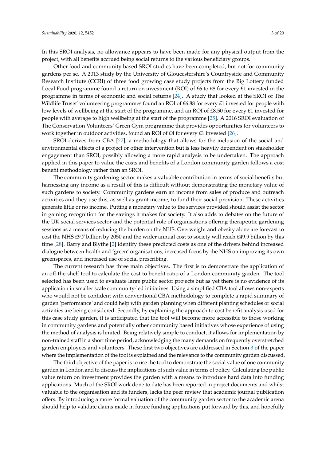In this SROI analysis, no allowance appears to have been made for any physical output from the project, with all benefits accrued being social returns to the various beneficiary groups.

Other food and community based SROI studies have been completed, but not for community gardens per se. A 2013 study by the University of Gloucestershire's Countryside and Community Research Institute (CCRI) of three food growing case study projects from the Big Lottery funded Local Food programme found a return on investment (ROI) of £6 to £8 for every £1 invested in the programme in terms of economic and social returns [24]. A study that looked at the SROI of The Wildlife Trusts' volunteering programmes found an ROI of £6.88 for every £1 invested for people with low levels of wellbeing at the start of the programme, and an ROI of £8.50 for every £1 invested for people with average to high wellbeing at the start of the programme [25]. A 2016 SROI evaluation of The Conservation Volunteers' Green Gym programme that provides opportunities for volunteers to work together in outdoor activities, found an ROI of £4 for every £1 invested [26].

SROI derives from CBA [27], a methodology that allows for the inclusion of the social and environmental effects of a project or other intervention but is less heavily dependent on stakeholder engagement than SROI, possibly allowing a more rapid analysis to be undertaken. The approach applied in this paper to value the costs and benefits of a London community garden follows a cost benefit methodology rather than an SROI.

The community gardening sector makes a valuable contribution in terms of social benefits but harnessing any income as a result of this is difficult without demonstrating the monetary value of such gardens to society. Community gardens earn an income from sales of produce and outreach activities and they use this, as well as grant income, to fund their social provision. These activities generate little or no income. Putting a monetary value to the services provided should assist the sector in gaining recognition for the savings it makes for society. It also adds to debates on the future of the UK social services sector and the potential role of organisations offering therapeutic gardening sessions as a means of reducing the burden on the NHS. Overweight and obesity alone are forecast to cost the NHS £9.7 billion by 2050 and the wider annual cost to society will reach £49.9 billion by this time [28]. Barry and Blythe [2] identify these predicted costs as one of the drivers behind increased dialogue between health and 'green' organisations, increased focus by the NHS on improving its own greenspaces, and increased use of social prescribing.

The current research has three main objectives. The first is to demonstrate the application of an off-the-shelf tool to calculate the cost to benefit ratio of a London community garden. The tool selected has been used to evaluate large public sector projects but as yet there is no evidence of its application in smaller scale community-led initiatives. Using a simplified CBA tool allows non-experts who would not be confident with conventional CBA methodology to complete a rapid summary of garden 'performance' and could help with garden planning when different planting schedules or social activities are being considered. Secondly, by explaining the approach to cost benefit analysis used for this case study garden, it is anticipated that the tool will become more accessible to those working in community gardens and potentially other community based initiatives whose experience of using the method of analysis is limited. Being relatively simple to conduct, it allows for implementation by non-trained staff in a short time period, acknowledging the many demands on frequently overstretched garden employees and volunteers. These first two objectives are addressed in Section 3 of the paper where the implementation of the tool is explained and the relevance to the community garden discussed.

The third objective of the paper is to use the tool to demonstrate the social value of one community garden in London and to discuss the implications of such value in terms of policy. Calculating the public value return on investment provides the garden with a means to introduce hard data into funding applications. Much of the SROI work done to date has been reported in project documents and whilst valuable to the organisation and its funders, lacks the peer review that academic journal publication offers. By introducing a more formal valuation of the community garden sector to the academic arena should help to validate claims made in future funding applications put forward by this, and hopefully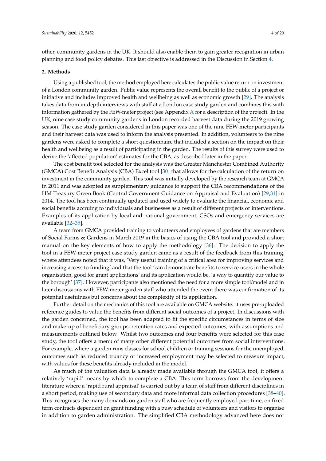other, community gardens in the UK. It should also enable them to gain greater recognition in urban planning and food policy debates. This last objective is addressed in the Discussion in Section 4.

#### **2. Methods**

Using a published tool, the method employed here calculates the public value return on investment of a London community garden. Public value represents the overall benefit to the public of a project or initiative and includes improved health and wellbeing as well as economic growth [29]. The analysis takes data from in-depth interviews with staff at a London case study garden and combines this with information gathered by the FEW-meter project (see Appendix A for a description of the project). In the UK, nine case study community gardens in London recorded harvest data during the 2019 growing season. The case study garden considered in this paper was one of the nine FEW-meter participants and their harvest data was used to inform the analysis presented. In addition, volunteers to the nine gardens were asked to complete a short questionnaire that included a section on the impact on their health and wellbeing as a result of participating in the garden. The results of this survey were used to derive the 'affected population' estimates for the CBA, as described later in the paper.

The cost benefit tool selected for the analysis was the Greater Manchester Combined Authority (GMCA) Cost Benefit Analysis (CBA) Excel tool [30] that allows for the calculation of the return on investment in the community garden. This tool was initially developed by the research team at GMCA in 2011 and was adopted as supplementary guidance to support the CBA recommendations of the HM Treasury Green Book (Central Government Guidance on Appraisal and Evaluation) [29,31] in 2014. The tool has been continually updated and used widely to evaluate the financial, economic and social benefits accruing to individuals and businesses as a result of different projects or interventions. Examples of its application by local and national government, CSOs and emergency services are available [32–35].

A team from GMCA provided training to volunteers and employees of gardens that are members of Social Farms & Gardens in March 2019 in the basics of using the CBA tool and provided a short manual on the key elements of how to apply the methodology [36]. The decision to apply the tool in a FEW-meter project case study garden came as a result of the feedback from this training, where attendees noted that it was, 'Very useful training of a critical area for improving services and increasing access to funding' and that the tool 'can demonstrate benefits to service users in the whole organisation, good for grant applications' and its application would be, 'a way to quantify our value to the borough' [37]. However, participants also mentioned the need for a more simple tool/model and in later discussions with FEW-meter garden staff who attended the event there was confirmation of its potential usefulness but concerns about the complexity of its application.

Further detail on the mechanics of this tool are available on GMCA website: it uses pre-uploaded reference guides to value the benefits from different social outcomes of a project. In discussions with the garden concerned, the tool has been adapted to fit the specific circumstances in terms of size and make-up of beneficiary groups, retention rates and expected outcomes, with assumptions and measurements outlined below. Whilst two outcomes and four benefits were selected for this case study, the tool offers a menu of many other different potential outcomes from social interventions. For example, where a garden runs classes for school children or training sessions for the unemployed, outcomes such as reduced truancy or increased employment may be selected to measure impact, with values for these benefits already included in the model.

As much of the valuation data is already made available through the GMCA tool, it offers a relatively 'rapid' means by which to complete a CBA. This term borrows from the development literature where a 'rapid rural appraisal' is carried out by a team of staff from different disciplines in a short period, making use of secondary data and more informal data collection procedures [38–40]. This recognises the many demands on garden staff who are frequently employed part-time, on fixed term contracts dependent on grant funding with a busy schedule of volunteers and visitors to organise in addition to garden administration. The simplified CBA methodology advanced here does not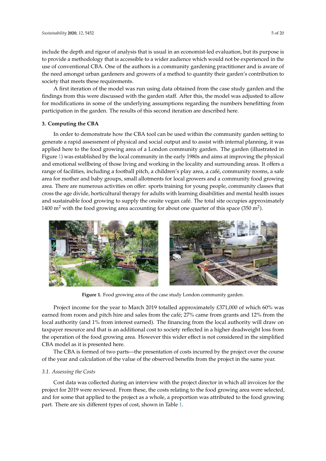include the depth and rigour of analysis that is usual in an economist-led evaluation, but its purpose is to provide a methodology that is accessible to a wider audience which would not be experienced in the use of conventional CBA. One of the authors is a community gardening practitioner and is aware of the need amongst urban gardeners and growers of a method to quantity their garden's contribution to society that meets these requirements.

A first iteration of the model was run using data obtained from the case study garden and the findings from this were discussed with the garden staff. After this, the model was adjusted to allow for modifications in some of the underlying assumptions regarding the numbers benefitting from participation in the garden. The results of this second iteration are described here.

#### **3. Computing the CBA** physical and emotional wellbeing of those living and working in the locality and surrounding areas.

In order to demonstrate how the CBA tool can be used within the community garden setting to generate a rapid assessment of physical and social output and to assist with internal planning, it was applied here to the food growing area of a London community garden. The garden (illustrated in Figure 1) was established by the local community in the early 1980s and aims at improving the physical and emotional wellbeing of those living and working in the locality and surrounding areas. It offers a range of facilities, including a football pitch, a children's play area, a café, community rooms, a safe area for mother and baby groups, small allotments for local growers and a community food growing area for momer and baby groups, small allocated for focal growers and a community rood growing<br>area. There are numerous activities on offer: sports training for young people, community classes that cross the age divide, horticultural therapy for adults with learning disabilities and mental health issues and sustainable food growing to supply the onsite vegan café. The total site occupies approximately 1400 m<sup>2</sup> with the food growing area accounting for about one quarter of this space (350 m<sup>2</sup>). do there are hamerous activities on oner, sports training for young property community classes in



**Figure 1.** Food growing area of the case study London community garden. **Figure 1.** Food growing area of the case study London community garden.

Project income for the year to March 2019 totalled approximately £371,000 of which 60% was earned from room and pitch hire and sales from the café; 27% came from grants and 12% from the local authority (and 1% from interest earned). The financing from the local authority will draw on the operation of the food growing area. However this wider effect is not considered in the simplified  $CBA$  model as it is presented here. taxpayer resource and that is an additional cost to society reflected in a higher deadweight loss from

The CBA is formed of two parts—the presentation of costs incurred by the project over the course of the year and calculation of the value of the observed benefits from the project in the same year.

#### *3.1. Assessing the Costs*

Cost data was collected during an interview with the project director in which all invoices for the project for 2019 were reviewed. From these, the costs relating to the food growing area were selected, and for some that applied to the project as a whole, a proportion was attributed to the food growing part. There are six different types of cost, shown in Table 1.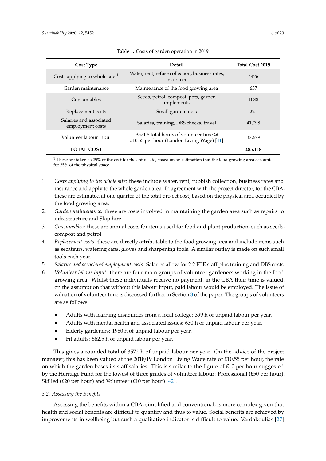| Cost Type                                   | <b>Detail</b>                                                                         | <b>Total Cost 2019</b> |
|---------------------------------------------|---------------------------------------------------------------------------------------|------------------------|
| Costs applying to whole site $1$            | Water, rent, refuse collection, business rates,<br>insurance                          | 4476                   |
| Garden maintenance                          | Maintenance of the food growing area                                                  | 637                    |
| Consumables                                 | Seeds, petrol, compost, pots, garden<br>implements                                    | 1038                   |
| Replacement costs                           | Small garden tools                                                                    | 221                    |
| Salaries and associated<br>employment costs | Salaries, training, DBS checks, travel                                                | 41,098                 |
| Volunteer labour input                      | 3571.5 total hours of volunteer time @<br>£10.55 per hour (London Living Wage) $[41]$ | 37,679                 |
| <b>TOTAL COST</b>                           |                                                                                       | £85,148                |

**Table 1.** Costs of garden operation in 2019

 $1$  These are taken as 25% of the cost for the entire site, based on an estimation that the food growing area accounts for 25% of the physical space.

- 1. *Costs applying to the whole site:* these include water, rent, rubbish collection, business rates and insurance and apply to the whole garden area. In agreement with the project director, for the CBA, these are estimated at one quarter of the total project cost, based on the physical area occupied by the food growing area.
- 2. *Garden maintenance:* these are costs involved in maintaining the garden area such as repairs to infrastructure and Skip hire.
- 3. *Consumables:* these are annual costs for items used for food and plant production, such as seeds, compost and petrol.
- 4. *Replacement costs:* these are directly attributable to the food growing area and include items such as secateurs, watering cans, gloves and sharpening tools. A similar outlay is made on such small tools each year.
- 5. *Salaries and associated employment costs:* Salaries allow for 2.2 FTE staff plus training and DBS costs.
- 6. *Volunteer labour input:* there are four main groups of volunteer gardeners working in the food growing area. Whilst these individuals receive no payment, in the CBA their time is valued, on the assumption that without this labour input, paid labour would be employed. The issue of valuation of volunteer time is discussed further in Section 3 of the paper. The groups of volunteers are as follows:
	- Adults with learning disabilities from a local college: 399 h of unpaid labour per year.
	- Adults with mental health and associated issues: 630 h of unpaid labour per year.
	- Elderly gardeners: 1980 h of unpaid labour per year.
	- Fit adults: 562.5 h of unpaid labour per year.

This gives a rounded total of 3572 h of unpaid labour per year. On the advice of the project manager, this has been valued at the 2018/19 London Living Wage rate of £10.55 per hour, the rate on which the garden bases its staff salaries. This is similar to the figure of £10 per hour suggested by the Heritage Fund for the lowest of three grades of volunteer labour: Professional (£50 per hour), Skilled ( $\text{\pounds}20$  per hour) and Volunteer ( $\text{\pounds}10$  per hour) [42].

#### *3.2. Assessing the Benefits*

Assessing the benefits within a CBA, simplified and conventional, is more complex given that health and social benefits are difficult to quantify and thus to value. Social benefits are achieved by improvements in wellbeing but such a qualitative indicator is difficult to value. Vardakoulias [27]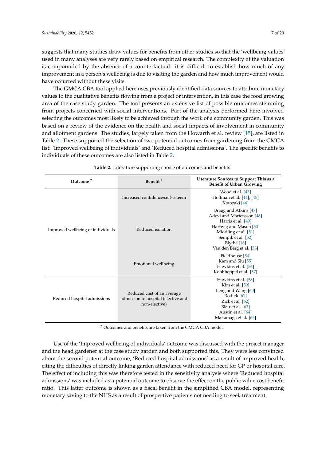suggests that many studies draw values for benefits from other studies so that the 'wellbeing values' used in many analyses are very rarely based on empirical research. The complexity of the valuation is compounded by the absence of a counterfactual: it is difficult to establish how much of any improvement in a person's wellbeing is due to visiting the garden and how much improvement would have occurred without these visits.

The GMCA CBA tool applied here uses previously identified data sources to attribute monetary values to the qualitative benefits flowing from a project or intervention, in this case the food growing area of the case study garden. The tool presents an extensive list of possible outcomes stemming from projects concerned with social interventions. Part of the analysis performed here involved selecting the outcomes most likely to be achieved through the work of a community garden. This was based on a review of the evidence on the health and social impacts of involvement in community and allotment gardens. The studies, largely taken from the Howarth et al. review [15], are listed in Table 2. These supported the selection of two potential outcomes from gardening from the GMCA list: 'Improved wellbeing of individuals' and 'Reduced hospital admissions'. The specific benefits to individuals of these outcomes are also listed in Table 2.

| Outcome <sup>2</sup>              | Benefit <sup>2</sup>                                                               | Literature Sources to Support This as a<br><b>Benefit of Urban Growing</b>                                                                                                                  |
|-----------------------------------|------------------------------------------------------------------------------------|---------------------------------------------------------------------------------------------------------------------------------------------------------------------------------------------|
|                                   | Increased confidence/self-esteem                                                   | Wood et al. [43]<br>Hoffman et al. [44], [45]<br>Kotozaki [46]                                                                                                                              |
| Improved wellbeing of individuals | Reduced isolation                                                                  | Bragg and Atkins [47]<br>Adevi and Martensson [48]<br>Harris et al. [49]<br>Hartwig and Mason [50]<br>Middling et al. [51]<br>Sempik et al. [52]<br>Blythe [16]<br>Van den Berg et al. [53] |
|                                   | Emotional wellbeing                                                                | Fieldhouse [54]<br>Kam and Siu [55]<br>Hawkins et al. [56]<br>Kohhheppel et al. [57]                                                                                                        |
| Reduced hospital admissions       | Reduced cost of an average<br>admission to hospital (elective and<br>non-elective) | Hawkins et al. [58]<br>Kim et al. [59]<br>Leng and Wang $[60]$<br>Rodiek [61]<br>Zick et al. [62]<br>Blair et al. [63]<br>Austin et al. [64]<br>Matsunaga et al. [65]                       |

**Table 2.** Literature supporting choice of outcomes and benefits.

<sup>2</sup> Outcomes and benefits are taken from the GMCA CBA model.

Use of the 'Improved wellbeing of individuals' outcome was discussed with the project manager and the head gardener at the case study garden and both supported this. They were less convinced about the second potential outcome, 'Reduced hospital admissions' as a result of improved health, citing the difficulties of directly linking garden attendance with reduced need for GP or hospital care. The effect of including this was therefore tested in the sensitivity analysis where 'Reduced hospital admissions' was included as a potential outcome to observe the effect on the public value cost benefit ratio. This latter outcome is shown as a fiscal benefit in the simplified CBA model, representing monetary saving to the NHS as a result of prospective patients not needing to seek treatment.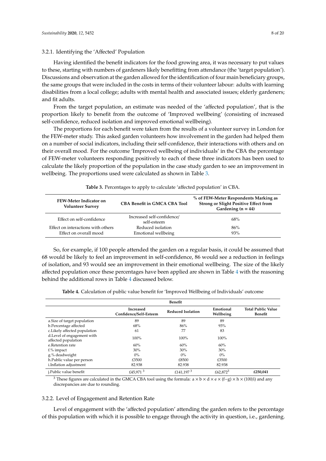#### 3.2.1. Identifying the 'Affected' Population

Having identified the benefit indicators for the food growing area, it was necessary to put values to these, starting with numbers of gardeners likely benefitting from attendance (the 'target population'). Discussions and observation at the garden allowed for the identification of four main beneficiary groups, the same groups that were included in the costs in terms of their volunteer labour: adults with learning disabilities from a local college; adults with mental health and associated issues; elderly gardeners; and fit adults.

From the target population, an estimate was needed of the 'affected population', that is the proportion likely to benefit from the outcome of 'Improved wellbeing' (consisting of increased self-confidence, reduced isolation and improved emotional wellbeing).

The proportions for each benefit were taken from the results of a volunteer survey in London for the FEW-meter study. This asked garden volunteers how involvement in the garden had helped them on a number of social indicators, including their self-confidence, their interactions with others and on their overall mood. For the outcome 'Improved wellbeing of individuals' in the CBA the percentage of FEW-meter volunteers responding positively to each of these three indicators has been used to calculate the likely proportion of the population in the case study garden to see an improvement in wellbeing. The proportions used were calculated as shown in Table 3.

| <b>FEW-Meter Indicator on</b><br><b>Volunteer Survey</b> | <b>CBA Benefit in GMCA CBA Tool</b>       | % of FEW-Meter Respondents Marking as<br><b>Strong or Slight Positive Effect from</b><br>Gardening $(n = 44)$ |
|----------------------------------------------------------|-------------------------------------------|---------------------------------------------------------------------------------------------------------------|
| Effect on self-confidence                                | Increased self-confidence/<br>self-esteem | 68%                                                                                                           |
| Effect on interactions with others                       | Reduced isolation                         | 86%                                                                                                           |
| Effect on overall mood                                   | Emotional wellbeing                       | 93%                                                                                                           |

**Table 3.** Percentages to apply to calculate 'affected population' in CBA.

So, for example, if 100 people attended the garden on a regular basis, it could be assumed that 68 would be likely to feel an improvement in self-confidence, 86 would see a reduction in feelings of isolation, and 93 would see an improvement in their emotional wellbeing. The size of the likely affected population once these percentages have been applied are shown in Table 4 with the reasoning behind the additional rows in Table 4 discussed below.

**Table 4.** Calculation of public value benefit for 'Improved Wellbeing of Individuals' outcome

|                                                   | Benefit                             |                          |                        |                                      |
|---------------------------------------------------|-------------------------------------|--------------------------|------------------------|--------------------------------------|
|                                                   | Increased<br>Confidence/Self-Esteem | <b>Reduced Isolation</b> | Emotional<br>Wellbeing | <b>Total Public Value</b><br>Benefit |
| a.Size of target population                       | 89                                  | 89                       | 89                     |                                      |
| b.Percentage affected                             | 68%                                 | 86%                      | 93%                    |                                      |
| c.Likely affected population                      | 61                                  | 77                       | 83                     |                                      |
| d.Level of engagement with<br>affected population | 100%                                | 100%                     | 100%                   |                                      |
| e.Retention rate                                  | 60%                                 | 60%                      | 60%                    |                                      |
| f.% impact                                        | 30%                                 | 30%                      | 30%                    |                                      |
| g.% deadweight                                    | $0\%$                               | $0\%$                    | $0\%$                  |                                      |
| h.Public value per person                         | £3500                               | £8500                    | £3500                  |                                      |
| i.Inflation adjustment                            | 82.938                              | 82.938                   | 82.938                 |                                      |
| j.Public value benefit                            | £45,971 $3$                         | £141,197 $3$             | £62.872 <sup>3</sup>   | £250.041                             |

<sup>3</sup> These figures are calculated in the GMCA CBA tool using the formula: a × b × d × e × (f−g) × h × (100/i) and any discrepancies are due to rounding.

#### 3.2.2. Level of Engagement and Retention Rate

Level of engagement with the 'affected population' attending the garden refers to the percentage of this population with which it is possible to engage through the activity in question, i.e., gardening.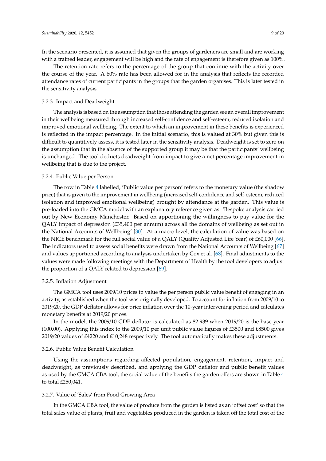In the scenario presented, it is assumed that given the groups of gardeners are small and are working with a trained leader, engagement will be high and the rate of engagement is therefore given as 100%.

The retention rate refers to the percentage of the group that continue with the activity over the course of the year. A 60% rate has been allowed for in the analysis that reflects the recorded attendance rates of current participants in the groups that the garden organises. This is later tested in the sensitivity analysis.

#### 3.2.3. Impact and Deadweight

The analysis is based on the assumption that those attending the garden see an overall improvement in their wellbeing measured through increased self-confidence and self-esteem, reduced isolation and improved emotional wellbeing. The extent to which an improvement in these benefits is experienced is reflected in the impact percentage. In the initial scenario, this is valued at 30% but given this is difficult to quantitively assess, it is tested later in the sensitivity analysis. Deadweight is set to zero on the assumption that in the absence of the supported group it may be that the participants' wellbeing is unchanged. The tool deducts deadweight from impact to give a net percentage improvement in wellbeing that is due to the project.

#### 3.2.4. Public Value per Person

The row in Table 4 labelled, 'Public value per person' refers to the monetary value (the shadow price) that is given to the improvement in wellbeing (increased self-confidence and self-esteem, reduced isolation and improved emotional wellbeing) brought by attendance at the garden. This value is pre-loaded into the GMCA model with an explanatory reference given as: 'Bespoke analysis carried out by New Economy Manchester. Based on apportioning the willingness to pay value for the QALY impact of depression (£35,400 per annum) across all the domains of wellbeing as set out in the National Accounts of Wellbeing' [30]. At a macro level, the calculation of value was based on the NICE benchmark for the full social value of a QALY (Quality Adjusted Life Year) of £60,000 [66]. The indicators used to assess social benefits were drawn from the National Accounts of Wellbeing [67] and values apportioned according to analysis undertaken by Cox et al. [68]. Final adjustments to the values were made following meetings with the Department of Health by the tool developers to adjust the proportion of a QALY related to depression [69].

#### 3.2.5. Inflation Adjustment

The GMCA tool uses 2009/10 prices to value the per person public value benefit of engaging in an activity, as established when the tool was originally developed. To account for inflation from 2009/10 to 2019/20, the GDP deflator allows for price inflation over the 10-year intervening period and calculates monetary benefits at 2019/20 prices.

In the model, the 2009/10 GDP deflator is calculated as 82.939 when 2019/20 is the base year (100.00). Applying this index to the 2009/10 per unit public value figures of £3500 and £8500 gives 2019/20 values of £4220 and £10,248 respectively. The tool automatically makes these adjustments.

#### 3.2.6. Public Value Benefit Calculation

Using the assumptions regarding affected population, engagement, retention, impact and deadweight, as previously described, and applying the GDP deflator and public benefit values as used by the GMCA CBA tool, the social value of the benefits the garden offers are shown in Table 4 to total £250,041.

#### 3.2.7. Value of 'Sales' from Food Growing Area

In the GMCA CBA tool, the value of produce from the garden is listed as an 'offset cost' so that the total sales value of plants, fruit and vegetables produced in the garden is taken off the total cost of the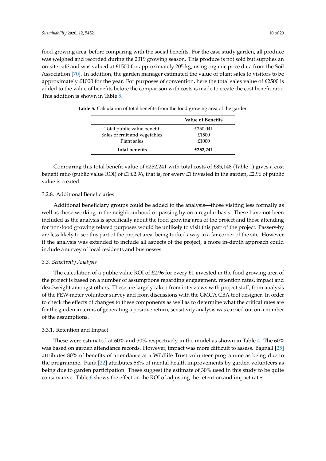food growing area, before comparing with the social benefits. For the case study garden, all produce was weighed and recorded during the 2019 growing season. This produce is not sold but supplies an on-site café and was valued at £1500 for approximately 205 kg, using organic price data from the Soil Association [70]. In addition, the garden manager estimated the value of plant sales to visitors to be approximately £1000 for the year. For purposes of convention, here the total sales value of £2500 is added to the value of benefits before the comparison with costs is made to create the cost benefit ratio. This addition is shown in Table 5.

|                               | <b>Value of Benefits</b> |
|-------------------------------|--------------------------|
| Total public value benefit    | £250,041                 |
| Sales of fruit and vegetables | £1500                    |
| Plant sales                   | £1000                    |
| <b>Total benefits</b>         | £252,241                 |

**Table 5.** Calculation of total benefits from the food growing area of the garden

Comparing this total benefit value of £252,241 with total costs of £85,148 (Table 1) gives a cost benefit ratio (public value ROI) of £1:£2.96, that is, for every £1 invested in the garden, £2.96 of public value is created.

#### 3.2.8. Additional Beneficiaries

Additional beneficiary groups could be added to the analysis—those visiting less formally as well as those working in the neighbourhood or passing by on a regular basis. These have not been included as the analysis is specifically about the food growing area of the project and those attending for non-food growing related purposes would be unlikely to visit this part of the project. Passers-by are less likely to see this part of the project area, being tucked away in a far corner of the site. However, if the analysis was extended to include all aspects of the project, a more in-depth approach could include a survey of local residents and businesses.

#### *3.3. Sensitivity Analysis*

The calculation of a public value ROI of  $£2.96$  for every  $£1$  invested in the food growing area of the project is based on a number of assumptions regarding engagement, retention rates, impact and deadweight amongst others. These are largely taken from interviews with project staff, from analysis of the FEW-meter volunteer survey and from discussions with the GMCA CBA tool designer. In order to check the effects of changes to these components as well as to determine what the critical rates are for the garden in terms of generating a positive return, sensitivity analysis was carried out on a number of the assumptions.

#### 3.3.1. Retention and Impact

These were estimated at 60% and 30% respectively in the model as shown in Table 4. The 60% was based on garden attendance records. However, impact was more difficult to assess. Bagnall [25] attributes 80% of benefits of attendance at a Wildlife Trust volunteer programme as being due to the programme. Pank [22] attributes 58% of mental health improvements by garden volunteers as being due to garden participation. These suggest the estimate of 30% used in this study to be quite conservative. Table 6 shows the effect on the ROI of adjusting the retention and impact rates.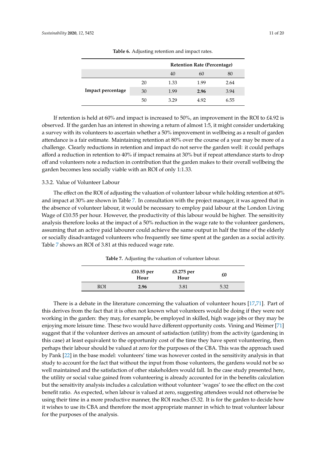|                   |    |      | <b>Retention Rate (Percentage)</b> |      |
|-------------------|----|------|------------------------------------|------|
|                   |    | 40   | 60                                 | 80   |
|                   | 20 | 1.33 | 1.99                               | 2.64 |
| Impact percentage | 30 | 1.99 | 2.96                               | 3.94 |
|                   | 50 | 3.29 | 4.92                               | 6.55 |

**Table 6.** Adjusting retention and impact rates.

If retention is held at 60% and impact is increased to 50%, an improvement in the ROI to £4.92 is observed. If the garden has an interest in showing a return of almost 1:5, it might consider undertaking a survey with its volunteers to ascertain whether a 50% improvement in wellbeing as a result of garden attendance is a fair estimate. Maintaining retention at 80% over the course of a year may be more of a challenge. Clearly reductions in retention and impact do not serve the garden well: it could perhaps afford a reduction in retention to 40% if impact remains at 30% but if repeat attendance starts to drop off and volunteers note a reduction in contribution that the garden makes to their overall wellbeing the garden becomes less socially viable with an ROI of only 1:1.33.

#### 3.3.2. Value of Volunteer Labour

The effect on the ROI of adjusting the valuation of volunteer labour while holding retention at 60% and impact at 30% are shown in Table 7. In consultation with the project manager, it was agreed that in the absence of volunteer labour, it would be necessary to employ paid labour at the London Living Wage of £10.55 per hour. However, the productivity of this labour would be higher. The sensitivity analysis therefore looks at the impact of a 50% reduction in the wage rate to the volunteer gardeners, assuming that an active paid labourer could achieve the same output in half the time of the elderly or socially disadvantaged volunteers who frequently see time spent at the garden as a social activity. Table 7 shows an ROI of 3.81 at this reduced wage rate.

**Table 7.** Adjusting the valuation of volunteer labour.

|     | £10.55 per<br>Hour | £5.275 per<br>Hour | £0   |
|-----|--------------------|--------------------|------|
| ROI | 2.96               | 3.81               | 5.32 |

There is a debate in the literature concerning the valuation of volunteer hours [17,71]. Part of this derives from the fact that it is often not known what volunteers would be doing if they were not working in the garden: they may, for example, be employed in skilled, high wage jobs or they may be enjoying more leisure time. These two would have different opportunity costs. Vining and Weimer [71] suggest that if the volunteer derives an amount of satisfaction (utility) from the activity (gardening in this case) at least equivalent to the opportunity cost of the time they have spent volunteering, then perhaps their labour should be valued at zero for the purposes of the CBA. This was the approach used by Pank [22] in the base model: volunteers' time was however costed in the sensitivity analysis in that study to account for the fact that without the input from those volunteers, the gardens would not be so well maintained and the satisfaction of other stakeholders would fall. In the case study presented here, the utility or social value gained from volunteering is already accounted for in the benefits calculation but the sensitivity analysis includes a calculation without volunteer 'wages' to see the effect on the cost benefit ratio. As expected, when labour is valued at zero, suggesting attendees would not otherwise be using their time in a more productive manner, the ROI reaches £5.32. It is for the garden to decide how it wishes to use its CBA and therefore the most appropriate manner in which to treat volunteer labour for the purposes of the analysis.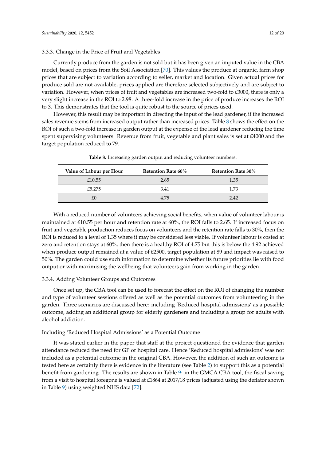#### 3.3.3. Change in the Price of Fruit and Vegetables

Currently produce from the garden is not sold but it has been given an imputed value in the CBA model, based on prices from the Soil Association [70]. This values the produce at organic, farm shop prices that are subject to variation according to seller, market and location. Given actual prices for produce sold are not available, prices applied are therefore selected subjectively and are subject to variation. However, when prices of fruit and vegetables are increased two-fold to £3000, there is only a very slight increase in the ROI to 2.98. A three-fold increase in the price of produce increases the ROI to 3. This demonstrates that the tool is quite robust to the source of prices used.

However, this result may be important in directing the input of the lead gardener, if the increased sales revenue stems from increased output rather than increased prices. Table 8 shows the effect on the ROI of such a two-fold increase in garden output at the expense of the lead gardener reducing the time spent supervising volunteers. Revenue from fruit, vegetable and plant sales is set at £4000 and the target population reduced to 79.

| Value of Labour per Hour | <b>Retention Rate 60%</b> | <b>Retention Rate 30%</b> |
|--------------------------|---------------------------|---------------------------|
| £10.55                   | 2.65                      | 1.35                      |
| £5.275                   | 3.41                      | 1.73                      |
| £ſ                       | 4.75                      | 2.42                      |

**Table 8.** Increasing garden output and reducing volunteer numbers.

With a reduced number of volunteers achieving social benefits, when value of volunteer labour is maintained at £10.55 per hour and retention rate at 60%, the ROI falls to 2.65. If increased focus on fruit and vegetable production reduces focus on volunteers and the retention rate falls to 30%, then the ROI is reduced to a level of 1.35 where it may be considered less viable. If volunteer labour is costed at zero and retention stays at 60%, then there is a healthy ROI of 4.75 but this is below the 4.92 achieved when produce output remained at a value of £2500, target population at 89 and impact was raised to 50%. The garden could use such information to determine whether its future priorities lie with food output or with maximising the wellbeing that volunteers gain from working in the garden.

#### 3.3.4. Adding Volunteer Groups and Outcomes

Once set up, the CBA tool can be used to forecast the effect on the ROI of changing the number and type of volunteer sessions offered as well as the potential outcomes from volunteering in the garden. Three scenarios are discussed here: including 'Reduced hospital admissions' as a possible outcome, adding an additional group for elderly gardeners and including a group for adults with alcohol addiction.

#### Including 'Reduced Hospital Admissions' as a Potential Outcome

It was stated earlier in the paper that staff at the project questioned the evidence that garden attendance reduced the need for GP or hospital care. Hence 'Reduced hospital admissions' was not included as a potential outcome in the original CBA. However, the addition of such an outcome is tested here as certainly there is evidence in the literature (see Table 2) to support this as a potential benefit from gardening. The results are shown in Table 9: in the GMCA CBA tool, the fiscal saving from a visit to hospital foregone is valued at £1864 at 2017/18 prices (adjusted using the deflator shown in Table 9) using weighted NHS data [72].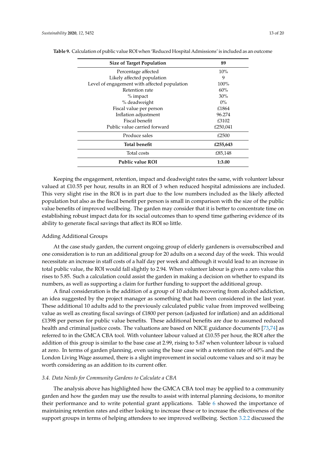| <b>Size of Target Population</b>             | 89       |
|----------------------------------------------|----------|
| Percentage affected                          | $10\%$   |
| Likely affected population                   | 9        |
| Level of engagement with affected population | $100\%$  |
| Retention rate                               | 60%      |
| $\%$ impact                                  | 30%      |
| % deadweight                                 | $0\%$    |
| Fiscal value per person                      | £1864    |
| Inflation adjustment                         | 96.274   |
| Fiscal benefit                               | £3102    |
| Public value carried forward                 | £250,041 |
| Produce sales                                | £2500    |
| <b>Total benefit</b>                         | £255,643 |
| Total costs                                  | £85,148  |
| <b>Public value ROI</b>                      | 1:3.00   |

Keeping the engagement, retention, impact and deadweight rates the same, with volunteer labour valued at £10.55 per hour, results in an ROI of 3 when reduced hospital admissions are included. This very slight rise in the ROI is in part due to the low numbers included as the likely affected population but also as the fiscal benefit per person is small in comparison with the size of the public value benefits of improved wellbeing. The garden may consider that it is better to concentrate time on establishing robust impact data for its social outcomes than to spend time gathering evidence of its ability to generate fiscal savings that affect its ROI so little.

#### Adding Additional Groups

At the case study garden, the current ongoing group of elderly gardeners is oversubscribed and one consideration is to run an additional group for 20 adults on a second day of the week. This would necessitate an increase in staff costs of a half day per week and although it would lead to an increase in total public value, the ROI would fall slightly to 2.94. When volunteer labour is given a zero value this rises to 5.85. Such a calculation could assist the garden in making a decision on whether to expand its numbers, as well as supporting a claim for further funding to support the additional group.

A final consideration is the addition of a group of 10 adults recovering from alcohol addiction, an idea suggested by the project manager as something that had been considered in the last year. These additional 10 adults add to the previously calculated public value from improved wellbeing value as well as creating fiscal savings of £1800 per person (adjusted for inflation) and an additional £1398 per person for public value benefits. These additional benefits are due to assumed reduced health and criminal justice costs. The valuations are based on NICE guidance documents [73,74] as referred to in the GMCA CBA tool. With volunteer labour valued at £10.55 per hour, the ROI after the addition of this group is similar to the base case at 2.99, rising to 5.67 when volunteer labour is valued at zero. In terms of garden planning, even using the base case with a retention rate of 60% and the London Living Wage assumed, there is a slight improvement in social outcome values and so it may be worth considering as an addition to its current offer.

#### *3.4. Data Needs for Community Gardens to Calculate a CBA*

The analysis above has highlighted how the GMCA CBA tool may be applied to a community garden and how the garden may use the results to assist with internal planning decisions, to monitor their performance and to write potential grant applications. Table 6 showed the importance of maintaining retention rates and either looking to increase these or to increase the effectiveness of the support groups in terms of helping attendees to see improved wellbeing. Section 3.2.2 discussed the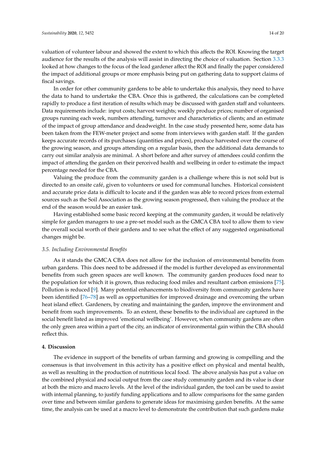valuation of volunteer labour and showed the extent to which this affects the ROI. Knowing the target audience for the results of the analysis will assist in directing the choice of valuation. Section 3.3.3 looked at how changes to the focus of the lead gardener affect the ROI and finally the paper considered the impact of additional groups or more emphasis being put on gathering data to support claims of fiscal savings.

In order for other community gardens to be able to undertake this analysis, they need to have the data to hand to undertake the CBA. Once this is gathered, the calculations can be completed rapidly to produce a first iteration of results which may be discussed with garden staff and volunteers. Data requirements include: input costs; harvest weights; weekly produce prices; number of organised groups running each week, numbers attending, turnover and characteristics of clients; and an estimate of the impact of group attendance and deadweight. In the case study presented here, some data has been taken from the FEW-meter project and some from interviews with garden staff. If the garden keeps accurate records of its purchases (quantities and prices), produce harvested over the course of the growing season, and groups attending on a regular basis, then the additional data demands to carry out similar analysis are minimal. A short before and after survey of attendees could confirm the impact of attending the garden on their perceived health and wellbeing in order to estimate the impact percentage needed for the CBA.

Valuing the produce from the community garden is a challenge where this is not sold but is directed to an onsite café, given to volunteers or used for communal lunches. Historical consistent and accurate price data is difficult to locate and if the garden was able to record prices from external sources such as the Soil Association as the growing season progressed, then valuing the produce at the end of the season would be an easier task.

Having established some basic record keeping at the community garden, it would be relatively simple for garden managers to use a pre-set model such as the GMCA CBA tool to allow them to view the overall social worth of their gardens and to see what the effect of any suggested organisational changes might be.

#### *3.5. Including Environmental Benefits*

As it stands the GMCA CBA does not allow for the inclusion of environmental benefits from urban gardens. This does need to be addressed if the model is further developed as environmental benefits from such green spaces are well known. The community garden produces food near to the population for which it is grown, thus reducing food miles and resultant carbon emissions [75]. Pollution is reduced [9]. Many potential enhancements to biodiversity from community gardens have been identified [76–78] as well as opportunities for improved drainage and overcoming the urban heat island effect. Gardeners, by creating and maintaining the garden, improve the environment and benefit from such improvements. To an extent, these benefits to the individual are captured in the social benefit listed as improved 'emotional wellbeing'. However, when community gardens are often the only green area within a part of the city, an indicator of environmental gain within the CBA should reflect this.

#### **4. Discussion**

The evidence in support of the benefits of urban farming and growing is compelling and the consensus is that involvement in this activity has a positive effect on physical and mental health, as well as resulting in the production of nutritious local food. The above analysis has put a value on the combined physical and social output from the case study community garden and its value is clear at both the micro and macro levels. At the level of the individual garden, the tool can be used to assist with internal planning, to justify funding applications and to allow comparisons for the same garden over time and between similar gardens to generate ideas for maximising garden benefits. At the same time, the analysis can be used at a macro level to demonstrate the contribution that such gardens make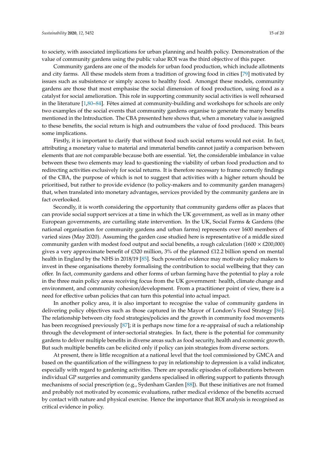to society, with associated implications for urban planning and health policy. Demonstration of the value of community gardens using the public value ROI was the third objective of this paper.

Community gardens are one of the models for urban food production, which include allotments and city farms. All these models stem from a tradition of growing food in cities [79] motivated by issues such as subsistence or simply access to healthy food. Amongst these models, community gardens are those that most emphasise the social dimension of food production, using food as a catalyst for social amelioration. This role in supporting community social activities is well rehearsed in the literature [1,80–84]. Fêtes aimed at community-building and workshops for schools are only two examples of the social events that community gardens organise to generate the many benefits mentioned in the Introduction. The CBA presented here shows that, when a monetary value is assigned to these benefits, the social return is high and outnumbers the value of food produced. This bears some implications.

Firstly, it is important to clarify that without food such social returns would not exist. In fact, attributing a monetary value to material and immaterial benefits cannot justify a comparison between elements that are not comparable because both are essential. Yet, the considerable imbalance in value between these two elements may lead to questioning the viability of urban food production and to redirecting activities exclusively for social returns. It is therefore necessary to frame correctly findings of the CBA, the purpose of which is not to suggest that activities with a higher return should be prioritised, but rather to provide evidence (to policy-makers and to community garden managers) that, when translated into monetary advantages, services provided by the community gardens are in fact overlooked.

Secondly, it is worth considering the opportunity that community gardens offer as places that can provide social support services at a time in which the UK government, as well as in many other European governments, are curtailing state intervention. In the UK, Social Farms & Gardens (the national organisation for community gardens and urban farms) represents over 1600 members of varied sizes (May 2020). Assuming the garden case studied here is representative of a middle sized community garden with modest food output and social benefits, a rough calculation (1600  $\times$  £200,000) gives a very approximate benefit of £320 million, 3% of the planned £12.2 billion spend on mental health in England by the NHS in 2018/19 [85]. Such powerful evidence may motivate policy makers to invest in these organisations thereby formalising the contribution to social wellbeing that they can offer. In fact, community gardens and other forms of urban farming have the potential to play a role in the three main policy areas receiving focus from the UK government: health, climate change and environment, and community cohesion/development. From a practitioner point of view, there is a need for effective urban policies that can turn this potential into actual impact.

In another policy area, it is also important to recognise the value of community gardens in delivering policy objectives such as those captured in the Mayor of London's Food Strategy [86]. The relationship between city food strategies/policies and the growth in community food movements has been recognised previously [87]; it is perhaps now time for a re-appraisal of such a relationship through the development of inter-sectorial strategies. In fact, there is the potential for community gardens to deliver multiple benefits in diverse areas such as food security, health and economic growth. But such multiple benefits can be elicited only if policy can join strategies from diverse sectors.

At present, there is little recognition at a national level that the tool commissioned by GMCA and based on the quantification of the willingness to pay in relationship to depression is a valid indicator, especially with regard to gardening activities. There are sporadic episodes of collaborations between individual GP surgeries and community gardens specialised in offering support to patients through mechanisms of social prescription (e.g., Sydenham Garden [88]). But these initiatives are not framed and probably not motivated by economic evaluations, rather medical evidence of the benefits accrued by contact with nature and physical exercise. Hence the importance that ROI analysis is recognised as critical evidence in policy.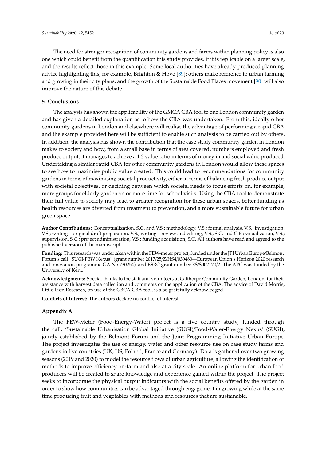The need for stronger recognition of community gardens and farms within planning policy is also one which could benefit from the quantification this study provides, if it is replicable on a larger scale, and the results reflect those in this example. Some local authorities have already produced planning advice highlighting this, for example, Brighton & Hove [89]; others make reference to urban farming and growing in their city plans, and the growth of the Sustainable Food Places movement [90] will also improve the nature of this debate.

#### **5. Conclusions**

The analysis has shown the applicability of the GMCA CBA tool to one London community garden and has given a detailed explanation as to how the CBA was undertaken. From this, ideally other community gardens in London and elsewhere will realise the advantage of performing a rapid CBA and the example provided here will be sufficient to enable such analysis to be carried out by others. In addition, the analysis has shown the contribution that the case study community garden in London makes to society and how, from a small base in terms of area covered, numbers employed and fresh produce output, it manages to achieve a 1:3 value ratio in terms of money in and social value produced. Undertaking a similar rapid CBA for other community gardens in London would allow these spaces to see how to maximise public value created. This could lead to recommendations for community gardens in terms of maximising societal productivity, either in terms of balancing fresh produce output with societal objectives, or deciding between which societal needs to focus efforts on, for example, more groups for elderly gardeners or more time for school visits. Using the CBA tool to demonstrate their full value to society may lead to greater recognition for these urban spaces, better funding as health resources are diverted from treatment to prevention, and a more sustainable future for urban green space.

**Author Contributions:** Conceptualization, S.C. and V.S.; methodology, V.S.; formal analysis, V.S.; investigation, V.S.; writing—original draft preparation, V.S.; writing—review and editing, V.S., S.C. and C.B.; visualization, V.S.; supervision, S.C.; project administration, V.S.; funding acquisition, S.C. All authors have read and agreed to the published version of the manuscript.

**Funding:** This research was undertaken within the FEW-meter project, funded under the JPI Urban Europe/Belmont Forum's call "SUGI-FEW Nexus" (grant number 2017/25/Z/HS4/030480—European Union's Horizon 2020 research and innovation programme GA No 730254), and ESRC grant number ES/S002170/2. The APC was funded by the University of Kent.

**Acknowledgments:** Special thanks to the staff and volunteers at Calthorpe Community Garden, London, for their assistance with harvest data collection and comments on the application of the CBA. The advice of David Morris, Little Lion Research, on use of the GBCA CBA tool, is also gratefully acknowledged.

**Conflicts of Interest:** The authors declare no conflict of interest.

#### **Appendix A**

The FEW-Meter (Food-Energy-Water) project is a five country study, funded through the call, 'Sustainable Urbanisation Global Initiative (SUGI)/Food-Water-Energy Nexus' (SUGI), jointly established by the Belmont Forum and the Joint Programming Initiative Urban Europe. The project investigates the use of energy, water and other resource use on case study farms and gardens in five countries (UK, US, Poland, France and Germany). Data is gathered over two growing seasons (2019 and 2020) to model the resource flows of urban agriculture, allowing the identification of methods to improve efficiency on-farm and also at a city scale. An online platform for urban food producers will be created to share knowledge and experience gained within the project. The project seeks to incorporate the physical output indicators with the social benefits offered by the garden in order to show how communities can be advantaged through engagement in growing while at the same time producing fruit and vegetables with methods and resources that are sustainable.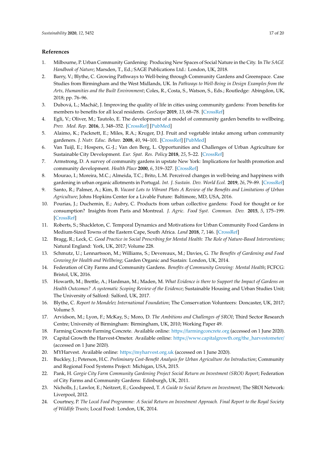#### **References**

- 1. Milbourne, P. Urban Community Gardening: Producing New Spaces of Social Nature in the City. In *The SAGE Handbook of Nature*; Marsden, T., Ed.; SAGE Publications Ltd.: London, UK, 2018.
- 2. Barry, V.; Blythe, C. Growing Pathways to Well-being through Community Gardens and Greenspace. Case Studies from Birmingham and the West Midlands, UK. In *Pathways to Well-Being in Design Examples from the Arts, Humanities and the Built Environment*; Coles, R., Costa, S., Watson, S., Eds.; Routledge: Abingdon, UK, 2018; pp. 76–96.
- 3. Dubová, L.; Macháˇc, J. Improving the quality of life in cities using community gardens: From benefits for members to benefits for all local residents. *GeoScape* **2019**, *13*, 68–78. [\[CrossRef\]](http://dx.doi.org/10.2478/geosc-2019-0005)
- 4. Egli, V.; Oliver, M.; Tautolo, E. The development of a model of community garden benefits to wellbeing. *Prev. Med. Rep.* **2016**, *3*, 348–352. [\[CrossRef\]](http://dx.doi.org/10.1016/j.pmedr.2016.04.005) [\[PubMed\]](http://www.ncbi.nlm.nih.gov/pubmed/27419035)
- 5. Alaimo, K.; Packnett, E.; Miles, R.A.; Kruger, D.J. Fruit and vegetable intake among urban community gardeners. *J. Nutr. Educ. Behav.* **2008**, *40*, 94–101. [\[CrossRef\]](http://dx.doi.org/10.1016/j.jneb.2006.12.003) [\[PubMed\]](http://www.ncbi.nlm.nih.gov/pubmed/18314085)
- 6. Van Tuijl, E.; Hospers, G.-J.; Van den Berg, L. Opportunities and Challenges of Urban Agriculture for Sustainable City Development. *Eur. Spat. Res. Policy* **2018**, *25*, 5–22. [\[CrossRef\]](http://dx.doi.org/10.18778/1231-1952.25.2.01)
- 7. Armstrong, D. A survey of community gardens in upstate New York: Implications for health promotion and community development. *Health Place* **2000**, *6*, 319–327. [\[CrossRef\]](http://dx.doi.org/10.1016/S1353-8292(00)00013-7)
- 8. Mourao, I.; Moreira, M.C.; Almeida, T.C.; Brito, L.M. Perceived changes in well-being and happiness with gardening in urban organic allotments in Portugal. *Int. J. Sustain. Dev. World Ecol.* **2019**, *26*, 79–89. [\[CrossRef\]](http://dx.doi.org/10.1080/13504509.2018.1469550)
- 9. Santo, R.; Palmer, A.; Kim, B. *Vacant Lots to Vibrant Plots A Review of the Benefits and Limitations of Urban Agriculture*; Johns Hopkins Center for a Livable Future: Baltimore, MD, USA, 2016.
- 10. Pourias, J.; Duchemin, E.; Aubry, C. Products from urban collective gardens: Food for thought or for consumption? Insights from Paris and Montreal. *J. Agric. Food Syst. Commun. Dev.* **2015**, *5*, 175–199. [\[CrossRef\]](http://dx.doi.org/10.5304/jafscd.2015.052.005)
- 11. Roberts, S.; Shackleton, C. Temporal Dynamics and Motivations for Urban Community Food Gardens in Medium-Sized Towns of the Eastern Cape, South Africa. *Land* **2018**, *7*, 146. [\[CrossRef\]](http://dx.doi.org/10.3390/land7040146)
- 12. Bragg, R.; Leck, C. *Good Practice in Social Prescribing for Mental Health: The Role of Nature-Based Interventions*; Natural England: York, UK, 2017; Volume 228.
- 13. Schmutz, U.; Lennartsson, M.; Williams, S.; Devereaux, M.; Davies, G. *The Benefits of Gardening and Food Growing for Health and Wellbeing*; Garden Organic and Sustain: London, UK, 2014.
- 14. Federation of City Farms and Community Gardens. *Benefits of Community Growing: Mental Health*; FCFCG: Bristol, UK, 2016.
- 15. Howarth, M.; Brettle, A.; Hardman, M.; Maden, M. *What Evidence is there to Support the Impact of Gardens on Health Outcomes? A systematic Scoping Review of the Evidence*; Sustainable Housing and Urban Studies Unit; The University of Salford: Salford, UK, 2017.
- 16. Blythe, C. *Report to Mondelez International Foundation*; The Conservation Volunteers: Doncaster, UK, 2017; Volume 5.
- 17. Arvidson, M.; Lyon, F.; McKay, S.; Moro, D. *The Ambitions and Challenges of SROI*; Third Sector Research Centre; University of Birmingham: Birmingham, UK, 2010; Working Paper 49.
- 18. Farming Concrete Farming Concrete. Available online: https://[farmingconcrete.org](https://farmingconcrete.org) (accessed on 1 June 2020).
- 19. Capital Growth the Harvest-Ometer. Available online: https://[www.capitalgrowth.org](https://www.capitalgrowth.org/the_harvestometer/)/the\_harvestometer/ (accessed on 1 June 2020).
- 20. MYHarvest. Available online: https://[myharvest.org.uk](https://myharvest.org.uk) (accessed on 1 June 2020).
- 21. Buckley, J.; Peterson, H.C. *Preliminary Cost-Benefit Analysis for Urban Agriculture An Introduction*; Community and Regional Food Systems Project: Michigan, USA, 2015.
- 22. Pank, H. *Gorgie City Farm Community Gardening Project Social Return on Investment (SROI) Report*; Federation of City Farms and Community Gardens: Edinburgh, UK, 2011.
- 23. Nicholls, J.; Lawlor, E.; Neitzert, E.; Goodspeed, T. *A Guide to Social Return on Investment*; The SROI Network: Liverpool, 2012.
- 24. Courtney, P. *The Local Food Programme: A Social Return on Investment Approach. Final Report to the Royal Society of Wildlife Trusts*; Local Food: London, UK, 2014.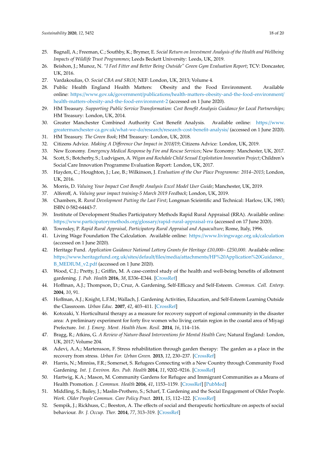- 25. Bagnall, A.; Freeman, C.; Southby, K.; Brymer, E. *Social Return on Investment Analysis of the Health and Wellbeing Impacts of Wildlife Trust Programmes*; Leeds Beckett University: Leeds, UK, 2019.
- 26. Beishon, J.; Munoz, N. *"I Feel Fitter and Better Being Outside" Green Gym Evaluation Report*; TCV: Doncaster, UK, 2016.
- 27. Vardakoulias, O. *Social CBA and SROI*; NEF: London, UK, 2013; Volume 4.
- 28. Public Health England Health Matters: Obesity and the Food Environment. Available online: https://www.gov.uk/government/publications/[health-matters-obesity-and-the-food-environment](https://www.gov.uk/government/publications/health-matters-obesity-and-the-food-environment/health-matters-obesity-and-the-food-environment-2)/ [health-matters-obesity-and-the-food-environment-2](https://www.gov.uk/government/publications/health-matters-obesity-and-the-food-environment/health-matters-obesity-and-the-food-environment-2) (accessed on 1 June 2020).
- 29. HM Treasury. *Supporting Public Service Transformation: Cost Benefit Analysis Guidance for Local Partnerships*; HM Treasury: London, UK, 2014.
- 30. Greater Manchester Combined Authority Cost Benefit Analysis. Available online: https://[www.](https://www.greatermanchester-ca.gov.uk/what-we-do/research/research-cost-benefit-analysis/) greatermanchester-ca.gov.uk/what-we-do/research/[research-cost-benefit-analysis](https://www.greatermanchester-ca.gov.uk/what-we-do/research/research-cost-benefit-analysis/)/ (accessed on 1 June 2020).
- 31. HM Treasury. *The Green Book*; HM Treasury: London, UK, 2018.
- 32. Citizens Advice. *Making A Di*ff*erence Our Impact in 2018*/*19*; Citizens Advice: London, UK, 2019.
- 33. New Economy. *Emergency Medical Response by Fire and Rescue Services*; New Economy: Manchester, UK, 2017.
- 34. Scott, S.; Botcherby, S.; Ludvigsen, A. *Wigan and Rochdale Child Sexual Exploitation Innovation Project*; Children's Social Care Innovation Programme Evaluation Report: London, UK, 2017.
- 35. Hayden, C.; Houghton, J.; Lee, B.; Wilkinson, J. *Evaluation of the Our Place Programme: 2014–2015*; London, UK, 2016.
- 36. Morris, D. *Valuing Your Impact Cost Benefit Analysis Excel Model User Guide*; Manchester, UK, 2019.
- 37. Alferoff, A. *Valuing your impact training-5 March 2019 Feedback*; London, UK, 2019.
- 38. Chambers, R. *Rural Development Putting the Last First*; Longman Scieintific and Technical: Harlow, UK, 1983; ISBN 0-582-64443-7.
- 39. Institute of Development Studies Participatory Methods Rapid Rural Appraisal (RRA). Available online: https://[www.participatorymethods.org](https://www.participatorymethods.org/glossary/rapid-rural-appraisal-rra)/glossary/rapid-rural-appraisal-rra (accessed on 17 June 2020).
- 40. Townsley, P. *Rapid Rural Appraisal, Participatory Rural Appraisal and Aquaculture*; Rome, Italy, 1996.
- 41. Living Wage Foundation The Calculation. Available online: https://[www.livingwage.org.uk](https://www.livingwage.org.uk/calculation)/calculation (accessed on 1 June 2020).
- 42. Heritage Fund. *Application Guidance National Lottery Grants for Heritage £10,000– £250,000*. Available online: https://www.heritagefund.org.uk/sites/default/files/media/attachments/[HF%20Application%20Guidance\\_](https://www.heritagefund.org.uk/sites/default/files/media/attachments/HF%20Application%20Guidance_B_MEDIUM_v2.pdf) [B\\_MEDIUM\\_v2.pdf](https://www.heritagefund.org.uk/sites/default/files/media/attachments/HF%20Application%20Guidance_B_MEDIUM_v2.pdf) (accessed on 1 June 2020).
- 43. Wood, C.J.; Pretty, J.; Griffin, M. A case-control study of the health and well-being benefits of allotment gardening. *J. Pub. Health* **2016**, *38*, E336–E344. [\[CrossRef\]](http://dx.doi.org/10.1093/pubmed/fdv146)
- 44. Hoffman, A.J.; Thompson, D.; Cruz, A. Gardening, Self-Efficacy and Self-Esteem. *Commun. Coll. Enterp.* **2004**, *10*, 91.
- 45. Hoffman, A.J.; Knight, L.F.M.; Wallach, J. Gardening Activities, Education, and Self-Esteem Learning Outside the Classroom. *Urban Educ.* **2007**, *42*, 403–411. [\[CrossRef\]](http://dx.doi.org/10.1177/0042085907304909)
- 46. Kotozaki, Y. Horticultural therapy as a measure for recovery support of regional community in the disaster area: A preliminary experiment for forty five women who living certain region in the coastal area of Miyagi Prefecture. *Int. J. Emerg. Ment. Health Hum. Resil.* **2014**, *16*, 114–116.
- 47. Bragg, R.; Atkins, G. *A Review of Nature-Based Interventions for Mental Health Care*; Natural England: London, UK, 2017; Volume 204.
- 48. Adevi, A.A.; Martensson, F. Stress rehabilitation through garden therapy: The garden as a place in the recovery from stress. *Urban For. Urban Green.* **2013**, *12*, 230–237. [\[CrossRef\]](http://dx.doi.org/10.1016/j.ufug.2013.01.007)
- 49. Harris, N.; Minniss, F.R.; Somerset, S. Refugees Connecting with a New Country through Community Food Gardening. *Int. J. Environ. Res. Pub. Health* **2014**, *11*, 9202–9216. [\[CrossRef\]](http://dx.doi.org/10.3390/ijerph110909202)
- 50. Hartwig, K.A.; Mason, M. Community Gardens for Refugee and Immigrant Communities as a Means of Health Promotion. *J. Commun. Health* **2016**, *41*, 1153–1159. [\[CrossRef\]](http://dx.doi.org/10.1007/s10900-016-0195-5) [\[PubMed\]](http://www.ncbi.nlm.nih.gov/pubmed/27085720)
- 51. Middling, S.; Bailey, J.; Maslin-Prothero, S.; Scharf, T. Gardening and the Social Engagement of Older People. *Work. Older People Commun. Care Policy Pract.* **2011**, *15*, 112–122. [\[CrossRef\]](http://dx.doi.org/10.1108/13663661011176660)
- 52. Sempik, J.; Rickhuss, C.; Beeston, A. The effects of social and therapeutic horticulture on aspects of social behaviour. *Br. J. Occup. Ther.* **2014**, *77*, 313–319. [\[CrossRef\]](http://dx.doi.org/10.4276/030802214X14018723138110)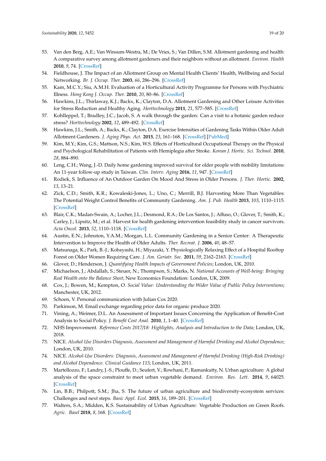- 53. Van den Berg, A.E.; Van Winsum-Westra, M.; De Vries, S.; Van Dillen, S.M. Allotment gardening and health: A comparative survey among allotment gardeners and their neighbors without an allotment. *Environ. Health* **2010**, *9*, 74. [\[CrossRef\]](http://dx.doi.org/10.1186/1476-069X-9-74)
- 54. Fieldhouse, J. The Impact of an Allotment Group on Mental Health Clients' Health, Wellbeing and Social Networking. *Br. J. Occup. Ther.* **2003**, *66*, 286–296. [\[CrossRef\]](http://dx.doi.org/10.1177/030802260306600702)
- 55. Kam, M.C.Y.; Siu, A.M.H. Evaluation of a Horticultural Activity Programme for Persons with Psychiatric Illness. *Hong Kong J. Occup. Ther.* **2010**, *20*, 80–86. [\[CrossRef\]](http://dx.doi.org/10.1016/S1569-18611170007-9)
- 56. Hawkins, J.L.; Thirlaway, K.J.; Backx, K.; Clayton, D.A. Allotment Gardening and Other Leisure Activities for Stress Reduction and Healthy Aging. *Horttechnology* **2011**, *21*, 577–585. [\[CrossRef\]](http://dx.doi.org/10.21273/HORTTECH.21.5.577)
- 57. Kohlleppel, T.; Bradley, J.C.; Jacob, S. A walk through the garden: Can a visit to a botanic garden reduce stress? *Horttechnology* **2002**, *12*, 489–492. [\[CrossRef\]](http://dx.doi.org/10.21273/HORTTECH.12.3.489)
- 58. Hawkins, J.L.; Smith, A.; Backx, K.; Clayton, D.A. Exercise Intensities of Gardening Tasks Within Older Adult Allotment Gardeners. *J. Aging Phys. Act.* **2015**, *23*, 161–168. [\[CrossRef\]](http://dx.doi.org/10.1123/japa.2013-0171) [\[PubMed\]](http://www.ncbi.nlm.nih.gov/pubmed/24589559)
- 59. Kim, M.Y.; Kim, G.S.; Mattson, N.S.; Kim, W.S. Effects of Horticultural Occupational Therapy on the Physical and Psychological Rehabilitation of Patients with Hemiplegia after Stroke. *Korean J. Hortic. Sci. Technol.* **2010**, *28*, 884–890.
- 60. Leng, C.H.; Wang, J.-D. Daily home gardening improved survival for older people with mobility limitations: An 11-year follow-up study in Taiwan. *Clin. Interv. Aging* **2016**, *11*, 947. [\[CrossRef\]](http://dx.doi.org/10.2147/CIA.S107197)
- 61. Rodiek, S. Influence of An Outdoor Garden On Mood And Stress in Older Persons. *J. Ther. Hortic.* **2002**, *13*, 13–21.
- 62. Zick, C.D.; Smith, K.R.; Kowaleski-Jones, L.; Uno, C.; Merrill, B.J. Harvesting More Than Vegetables: The Potential Weight Control Benefits of Community Gardening. *Am. J. Pub. Health* **2013**, *103*, 1110–1115. [\[CrossRef\]](http://dx.doi.org/10.2105/AJPH.2012.301009)
- 63. Blair, C.K.; Madan-Swain, A.; Locher, J.L.; Desmond, R.A.; De Los Santos, J.; Affuso, O.; Glover, T.; Smith, K.; Carley, J.; Lipsitz, M.; et al. Harvest for health gardening intervention feasibility study in cancer survivors. *Acta Oncol.* **2013**, *52*, 1110–1118. [\[CrossRef\]](http://dx.doi.org/10.3109/0284186X.2013.770165)
- 64. Austin, E.N.; Johnston, Y.A.M.; Morgan, L.L. Community Gardening in a Senior Center: A Therapeutic Intervention to Improve the Health of Older Adults. *Ther. Recreat. J.* **2006**, *40*, 48–57.
- 65. Matsunaga, K.; Park, B.-J.; Kobayashi, H.; Miyazaki, Y. Physiologically Relaxing Effect of a Hospital Rooftop Forest on Older Women Requiring Care. *J. Am. Geriatr. Soc.* **2011**, *59*, 2162–2163. [\[CrossRef\]](http://dx.doi.org/10.1111/j.1532-5415.2011.03651.x)
- 66. Glover, D.; Henderson, J. *Quantifying Health Impacts of Government Policies*; London, UK, 2010.
- 67. Michaelson, J.; Abdallah, S.; Steuer, N.; Thompson, S.; Marks, N. *National Accounts of Well-being: Bringing Real Wealth onto the Balance Sheet*; New Economics Foundation: London, UK, 2009.
- 68. Cox, J.; Bowen, M.; Kempton, O. *Social Value: Understanding the Wider Value of Public Policy Interventions*; Manchester, UK, 2012.
- 69. Schoen, V. Personal communication with Julian Cox 2020.
- 70. Parkinson, M. Email exchange regarding price data for organic produce 2020.
- 71. Vining, A.; Weimer, D.L. An Assessment of Important Issues Concerning the Application of Benefit-Cost Analysis to Social Policy. *J. Benefit Cost Anal.* **2010**, *1*, 1–40. [\[CrossRef\]](http://dx.doi.org/10.2202/2152-2812.1013)
- 72. NHS Improvement. *Reference Costs 2017*/*18: Highlights, Analysis and Introduction to the Data*; London, UK, 2018.
- 73. NICE. *Alcohol Use Disorders Diagnosis, Assessment and Management of Harmful Drinking and Alcohol Dependence*; London, UK, 2010.
- 74. NICE. *Alcohol-Use Disorders: Diagnosis, Assessment and Management of Harmful Drinking (High-Risk Drinking) and Alcohol Dependence. Clinical Guidance 115*; London, UK, 2011.
- 75. Martellozzo, F.; Landry, J.-S.; Plouffe, D.; Seufert, V.; Rowhani, P.; Ramankutty, N. Urban agriculture: A global analysis of the space constraint to meet urban vegetable demand. *Environ. Res. Lett.* **2014**, *9*, 64025. [\[CrossRef\]](http://dx.doi.org/10.1088/1748-9326/9/6/064025)
- 76. Lin, B.B.; Philpott, S.M.; Jha, S. The future of urban agriculture and biodiversity-ecosystem services: Challenges and next steps. *Basic Appl. Ecol.* **2015**, *16*, 189–201. [\[CrossRef\]](http://dx.doi.org/10.1016/j.baae.2015.01.005)
- 77. Walters, S.A.; Midden, K.S. Sustainability of Urban Agriculture: Vegetable Production on Green Roofs. *Agric. Basel* **2018**, *8*, 168. [\[CrossRef\]](http://dx.doi.org/10.3390/agriculture8110168)